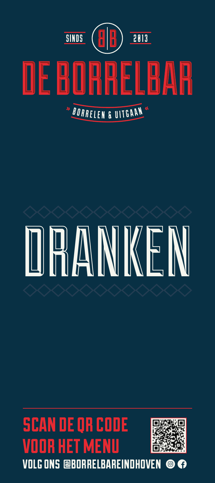

# DRANKEN

# scan de qr code R HET MEN



volg ons @borrelbareindhoven $\circledcirc$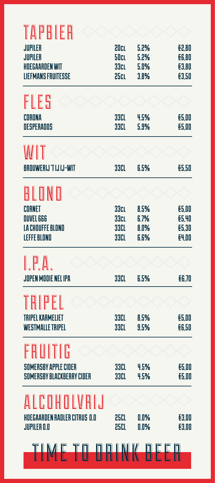| TAPBIER                       |              |              |                |
|-------------------------------|--------------|--------------|----------------|
| <b>JUPILER</b>                | 20cL         | 5.2%         | £2,80          |
| <b>JUPILER</b>                | <b>SOcL</b>  | 5.2%         | £6,80          |
| <b>HOEGAARDENWIT</b>          | 33cL         | 5.0%         | £3,80          |
| <b>LIEFMANS FRUITESSE</b>     | 25cL         | 3.8%         | £3,50          |
| FLES                          |              |              |                |
| CORONA                        | 33CL         | 4.5%         | £5,00          |
| <b>DESPERADOS</b>             | 33CL         | 5.9%         | £5,00          |
| WIT                           |              |              |                |
| <b>BROUWERIJ 'T IJ IJ-WIT</b> | <b>33CL</b>  | 6.5%         | £5,50          |
| BLOND                         |              |              |                |
|                               |              |              |                |
| CORNET<br><b>DUVEL 666</b>    | 33cL<br>33cL | 8.5%<br>6.7% | £5,00<br>£5,40 |
| LA CHOUFFE BLOND              | <b>33CL</b>  | 8.0%         | £5,30          |
| <b>LEFFE BLOND</b>            | <b>33CL</b>  | 6.6%         | £4,00          |
| I PA.                         |              |              |                |
| <b>JOPEN MODIE NEL IPA</b>    | <b>33CL</b>  | 6.5%         | £6,70          |
| TRIPEL                        |              |              |                |
| <b>TRIPEL KARMELIET</b>       | 33CL         | 8.5%         | £5.00          |
| <b>WESTMALLE TRIPEL</b>       | 33CL         | 9.5%         | <b>£6,50</b>   |
| FRUITIG                       |              |              |                |
| <b>SOMERSBY APPLE CIDER</b>   | <b>33CL</b>  | 4.5%         | £5,00          |
| SOMERSBY BLACKBERRY CIDER     | 33CL         | 4.5%         | £5,00          |
| ALCOHOLVBIJ                   |              |              |                |
| HOEGAARDEN RADLER CITRUS 0.0  | 25CL         | 0.0%         | £3,00          |
| <b>JUPILER O.O</b>            | 25CL         | 0.0%         | £3,00          |
| TIME TO DRINK BEER            |              |              |                |
|                               |              |              |                |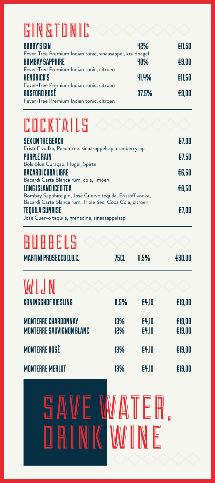# **GIN&TONIC**

| <b>BOBBY'S GIN</b>                                       | 42%   | E11.50 |
|----------------------------------------------------------|-------|--------|
| Fever-Tree Premium Indian tonic, sinaasappel, kruidnagel |       |        |
| <b>BOMBAY SAPPHIRE</b>                                   | 40%   | E9.00  |
| Fever-Tree Premium Indian tonic, citroen                 |       |        |
| <b>HENDRICK'S</b>                                        | 41.4% | E11.50 |
| Fever-Tree Premium Indian tonic, citroen                 |       |        |
| <b>BOSFORD ROSÉ</b>                                      | 37.5% | E9.00  |
| Fever-Tree Premium Indian tonic, citroen                 |       |        |

# COCKTAILS

| <b>SEX ON THE BEACH</b>                                   | $E$ 7.00     |
|-----------------------------------------------------------|--------------|
| Eristoff vodka, Peachtree, sinaasappelsap, cranberrysap   |              |
| <b>PURPLE RAIN</b>                                        | E7.50        |
| Bols Blue Curaçao, Flugel, Spirte                         |              |
| <b>BACARDI CUBA LIBRE</b>                                 | <b>EG.50</b> |
| Bacardi Carta Blanca rum, cola, limoen                    |              |
| LONG ISLAND ICED TEA                                      | £8.50        |
| Bombay Sapphire gin, José Cuervo tequila, Eristoff vodka, |              |
| Bacardi Carta Blanca rum, Triple Sec, Coca Cola, citroen  |              |
| <b>TEQUILA SUNRISE</b>                                    | $E$ 7.00     |
| José Cuervo tequila, grenadine, sinaasappelsap            |              |

## BUBBELS

| <b>MARTINI PROSECCO D.O.C.</b>                                | 75CL       | 11.5%                 | <b>£30,00</b>                  |
|---------------------------------------------------------------|------------|-----------------------|--------------------------------|
| WIJN                                                          |            |                       |                                |
| <b>KONINGSHOF RIESLING</b>                                    | 8.5%       | <b>E4.10</b>          | <b>£19,00</b>                  |
| <b>MONTERRE CHARDONNAY</b><br><b>MONTERRE SAUVIGNON BLANC</b> | 13%<br>12% | £4,10<br><b>{4,10</b> | <b>£19,00</b><br><b>£19,00</b> |
| <b>MONTERRE ROSÉ</b>                                          | 13%        | <b>E4.10</b>          | <b>£19,00</b>                  |
| <b>MONTERRE MERLOT</b>                                        | 13%        | £4,10                 | <b>£19,00</b>                  |
|                                                               |            |                       |                                |

# SAVE WATER, DRINK WINE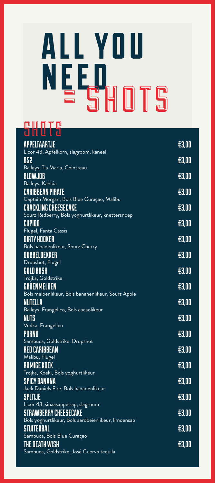# all you n e e d **= shots**

#### nintr

| <b>APPELTAARTJE</b>                                                             | <b>£3.00</b> |
|---------------------------------------------------------------------------------|--------------|
| Licor 43, Apfelkorn, slagroom, kaneel<br>B52                                    | £3,00        |
| Baileys, Tia Maria, Cointreau                                                   |              |
| <b>BLOWJOB</b>                                                                  | £3.00        |
| Baileys, Kahlúa                                                                 |              |
| <b>CARIBBEAN PIRATE</b>                                                         | £3,00        |
| Captain Morgan, Bols Blue Curaçao, Malibu                                       |              |
| <b>CRACKLING CHEESECAKE</b><br>Sourz Redberry, Bols yoghurtlikeur, knettersnoep | £3.00        |
| <b>CUPIDO</b>                                                                   | £3.00        |
| Flugel, Fanta Cassis                                                            |              |
| <b>DIRTY HOOKER</b>                                                             | £3,00        |
| Bols bananenlikeur, Sourz Cherry                                                |              |
| DUBBELDEKKER                                                                    | £3.00        |
| Dropshot, Flugel                                                                |              |
| <b>GOLD RUSH</b><br>Trojka, Goldstrike                                          | £3.00        |
| GROENMELOEN                                                                     | £3.00        |
| Bols meloenlikeur, Bols bananenlikeur, Sourz Apple                              |              |
| <b>NUTELLA</b>                                                                  | £3.00        |
| Baileys, Frangelico, Bols cacaolikeur                                           |              |
| <b>NUTS</b>                                                                     | £3,00        |
| Vodka, Frangelico<br>PORNO                                                      | £3,00        |
| Sambuca, Goldstrike, Dropshot                                                   |              |
| <b>RED CARIBBEAN</b>                                                            | £3.00        |
| Malibu, Flugel                                                                  |              |
| <b>ROMIGE KOEK</b>                                                              | £3.00        |
| Trojka, Koeki, Bols yoghurtlikeur                                               |              |
| <b>SPICY BANANA</b>                                                             | £3.00        |
| Jack Daniels Fire, Bols bananenlikeur<br><b>SPLITJE</b>                         | £3.00        |
| Licor 43, sinaasappelsap, slagroom                                              |              |
| <b>STRAWBERRY CHEESECAKE</b>                                                    | E3,00        |
| Bols yoghurtlikeur, Bols aardbeienlikeur, limoensap                             |              |
| <b>STUITERBAL</b>                                                               | £3,00        |
| Sambuca, Bols Blue Curaçao                                                      |              |
| THE DEATH WISH                                                                  | £3.00        |
| Sambuca, Goldstrike, José Cuervo tequila                                        |              |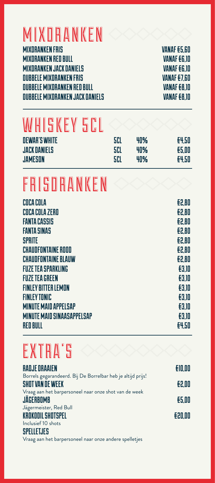### **MIXORANKEN**

MIXDRANKEN FRIS VANAF €5,6O MIXDRANKEN RED BULL VANAF €6,1O MIXDRANKEN JACK DANIELS VANAF €6,1O DUBBELE MIXDRANKEN FRIS VANAF €7,6O DUBBELE MIXDRANKEN RED BULL VANAF €8,1O DUBBELE MIXDRANKEN JACK DANIELS VANAF €8,1O

# WHISKEY 5CL

| <b>DEWAR'S WHITE</b> | 5CI | 40% | E4.50 |
|----------------------|-----|-----|-------|
| <b>JACK DANIELS</b>  | 5CI | 40% | £5.00 |
| <b>JAMESON</b>       | 5CI | 40% | E4.50 |

## FRISDRANKEN

| COCA COLA                         | £2,80 |
|-----------------------------------|-------|
| COCA COLA ZERO                    | £2.80 |
| <b>FANTA CASSIS</b>               | £2.80 |
| <b>FANTA SINAS</b>                | £2.80 |
| <b>SPRITE</b>                     | £2.80 |
| <b>CHAUDFONTAINE ROOD</b>         | E2.80 |
| <b>CHAUDFONTAINE BLAUW</b>        | £2.80 |
| <b>FUZE TEA SPARKLING</b>         | £3.10 |
| <b>FUZE TEA GREEN</b>             | £3.10 |
| <b>FINLEY BITTER LEMON</b>        | £3.10 |
| <b>FINLEY TONIC</b>               | £3.10 |
| <b>MINUTE MAID APPELSAP</b>       | £3.10 |
| <b>MINUTE MAID SINAASAPPELSAP</b> | £3.10 |
| <b>RED BULL</b>                   | £4.50 |

# EXTRA'S

| <b>RADJE ORAAIEN</b>                                        | E10.00 |
|-------------------------------------------------------------|--------|
| Borrels gegarandeerd. Bij De Borrelbar heb je altijd prijs! |        |
| <b>SHOT VAN DE WEEK</b>                                     | £2.00  |
| Vraag aan het barpersoneel naar onze shot van de week       |        |
| <b>JÄGERBOMB</b>                                            | £5.00  |
| Jägermeister, Red Bull                                      |        |
| <b>KROKODIL SHOTSPEL</b>                                    | E20.00 |
| Inclusief 10 shots                                          |        |
| <b>SPELLETJES</b>                                           |        |

Vraag aan het barpersoneel naar onze andere spelletjes